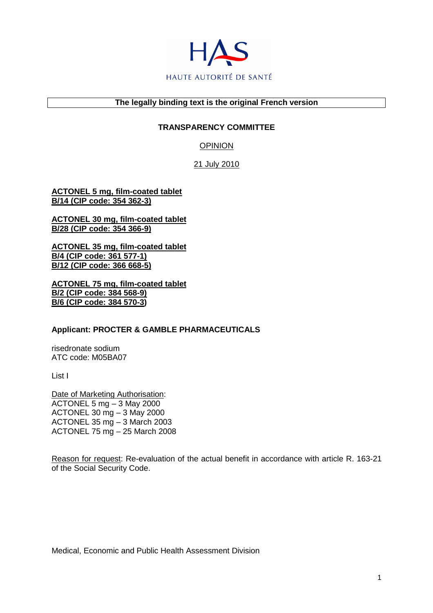

### **The legally binding text is the original French version**

## **TRANSPARENCY COMMITTEE**

OPINION

21 July 2010

**ACTONEL 5 mg, film-coated tablet B/14 (CIP code: 354 362-3)**

**ACTONEL 30 mg, film-coated tablet B/28 (CIP code: 354 366-9)**

**ACTONEL 35 mg, film-coated tablet B/4 (CIP code: 361 577-1) B/12 (CIP code: 366 668-5)**

**ACTONEL 75 mg, film-coated tablet B/2 (CIP code: 384 568-9) B/6 (CIP code: 384 570-3)** 

### **Applicant: PROCTER & GAMBLE PHARMACEUTICALS**

risedronate sodium ATC code: M05BA07

List I

Date of Marketing Authorisation: ACTONEL 5 mg – 3 May 2000 ACTONEL 30 mg – 3 May 2000 ACTONEL 35 mg – 3 March 2003 ACTONEL 75 mg – 25 March 2008

Reason for request: Re-evaluation of the actual benefit in accordance with article R. 163-21 of the Social Security Code.

Medical, Economic and Public Health Assessment Division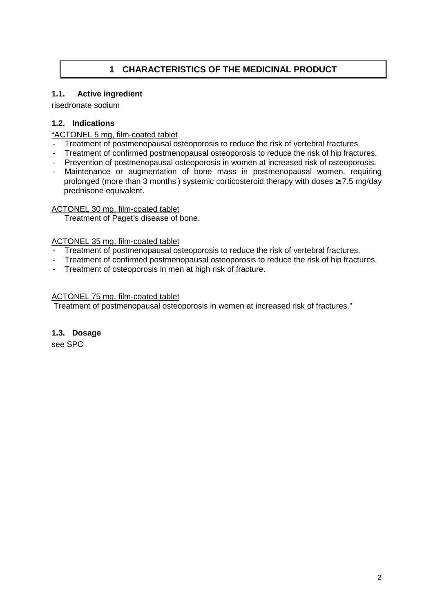# **1 CHARACTERISTICS OF THE MEDICINAL PRODUCT**

## **1.1. Active ingredient**

risedronate sodium

## **1.2. Indications**

## "ACTONEL 5 mg, film-coated tablet

- Treatment of postmenopausal osteoporosis to reduce the risk of vertebral fractures.
- Treatment of confirmed postmenopausal osteoporosis to reduce the risk of hip fractures.
- Prevention of postmenopausal osteoporosis in women at increased risk of osteoporosis.
- Maintenance or augmentation of bone mass in postmenopausal women, requiring prolonged (more than 3 months') systemic corticosteroid therapy with doses  $\geq 7.5$  mg/day prednisone equivalent.

### ACTONEL 30 mg, film-coated tablet

Treatment of Paget's disease of bone.

## ACTONEL 35 mg, film-coated tablet

- Treatment of postmenopausal osteoporosis to reduce the risk of vertebral fractures.
- Treatment of confirmed postmenopausal osteoporosis to reduce the risk of hip fractures.
- Treatment of osteoporosis in men at high risk of fracture.

## ACTONEL 75 mg, film-coated tablet

Treatment of postmenopausal osteoporosis in women at increased risk of fractures."

## **1.3. Dosage**

see SPC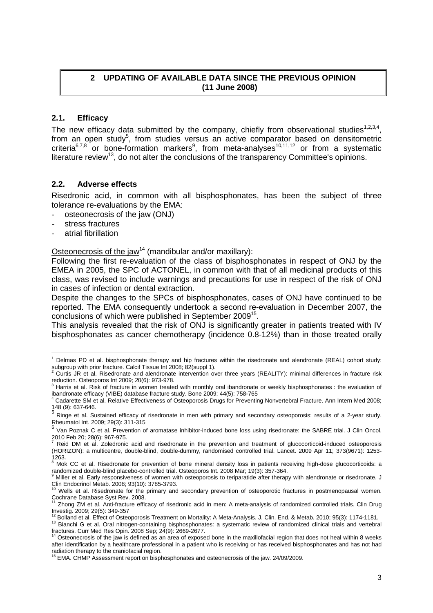## **2 UPDATING OF AVAILABLE DATA SINCE THE PREVIOUS OPINION (11 June 2008)**

## **2.1. Efficacy**

The new efficacy data submitted by the company, chiefly from observational studies<sup>1,2,3,4</sup>, from an open study<sup>5</sup>, from studies versus an active comparator based on densitometric criteria<sup>6,7,8</sup> or bone-formation markers<sup>9</sup>, from meta-analyses<sup>10,11,12</sup> or from a systematic literature review<sup>13</sup>, do not alter the conclusions of the transparency Committee's opinions.

## **2.2. Adverse effects**

Risedronic acid, in common with all bisphosphonates, has been the subject of three tolerance re-evaluations by the EMA:

- osteonecrosis of the jaw (ONJ)
- stress fractures
- atrial fibrillation

Osteonecrosis of the jaw<sup>14</sup> (mandibular and/or maxillary):

Following the first re-evaluation of the class of bisphosphonates in respect of ONJ by the EMEA in 2005, the SPC of ACTONEL, in common with that of all medicinal products of this class, was revised to include warnings and precautions for use in respect of the risk of ONJ in cases of infection or dental extraction.

Despite the changes to the SPCs of bisphosphonates, cases of ONJ have continued to be reported. The EMA consequently undertook a second re-evaluation in December 2007, the conclusions of which were published in September 2009<sup>15</sup>.

This analysis revealed that the risk of ONJ is significantly greater in patients treated with IV bisphosphonates as cancer chemotherapy (incidence 0.8-12%) than in those treated orally

 <sup>1</sup> Delmas PD et al. bisphosphonate therapy and hip fractures within the risedronate and alendronate (REAL) cohort study: subgroup with prior fracture. Calcif Tissue Int 2008; 82(suppl 1).<br><sup>2</sup> Curtie, IB at al. Risedrancte and elendrenate intervantion av

Curtis JR et al. Risedronate and alendronate intervention over three years (REALITY): minimal differences in fracture risk reduction. Osteoporos Int 2009; 20(6): 973-978.

 $3$  Harris et al. Risk of fracture in women treated with monthly oral ibandronate or weekly bisphosphonates : the evaluation of ibandronate efficacy (VIBE) database fracture study. Bone 2009; 44(5): 758-765

<sup>4</sup> Cadarette SM et al. Relative Effectiveness of Osteoporosis Drugs for Preventing Nonvertebral Fracture. Ann Intern Med 2008; 148 (9): 637-646.

<sup>&</sup>lt;sup>140</sup> (c). Sor Sec. 38. Subsets.<br>
<sup>5</sup> Ringe et al. Sustained efficacy of risedronate in men with primary and secondary osteoporosis: results of a 2-year study. Rheumatol Int. 2009; 29(3): 311-315

<sup>&</sup>lt;sup>6</sup> Van Poznak C et al. Prevention of aromatase inhibitor-induced bone loss using risedronate: the SABRE trial. J Clin Oncol. 2010 Feb 20; 28(6): 967-975. 7

Reid DM et al. Zoledronic acid and risedronate in the prevention and treatment of glucocorticoid-induced osteoporosis (HORIZON): a multicentre, double-blind, double-dummy, randomised controlled trial. Lancet. 2009 Apr 11; 373(9671): 1253-

<sup>1263.&</sup>lt;br><sup>8</sup> Mok CC et al. Risedronate for prevention of bone mineral density loss in patients receiving high-dose glucocorticoids: a randomized double-blind placebo-controlled trial. Osteoporos Int. 2008 Mar; 19(3): 357-364.<br><sup>9</sup> Miller et al. Early responsivences of wemen with esteoporosis to teriperatide after there

Miller et al. Early responsiveness of women with osteoporosis to teriparatide after therapy with alendronate or risedronate. J

Clin Endocrinol Metab. 2008; 93(10): 3785-3793.<br><sup>10</sup> Wells et al. Risedronate for the primary and secondary prevention of osteoporotic fractures in postmenopausal women. Cochrane Database Syst Rev. 2008.

<sup>11</sup> Zhong ZM et al. Anti-fracture efficacy of risedronic acid in men: A meta-analysis of randomized controlled trials. Clin Drug

Investig. 2009; 29(5): 349-357<br><sup>12</sup> Bolland et al. Effect of Osteoporosis Treatment on Mortality: A Meta-Analysis. J. Clin. End. & Metab. 2010; 95(3): 1174-1181.

<sup>13</sup> Bianchi G et al. Oral nitrogen-containing bisphosphonates: a systematic review of randomized clinical trials and vertebral fractures. Curr Med Res Opin. 2008 Sep; 24(9): 2669-2677.

<sup>14</sup> Osteonecrosis of the jaw is defined as an area of exposed bone in the maxillofacial region that does not heal within 8 weeks after identification by a healthcare professional in a patient who is receiving or has received bisphosphonates and has not had radiation therapy to the craniofacial region.

<sup>15</sup> EMA. CHMP Assessment report on bisphosphonates and osteonecrosis of the jaw. 24/09/2009.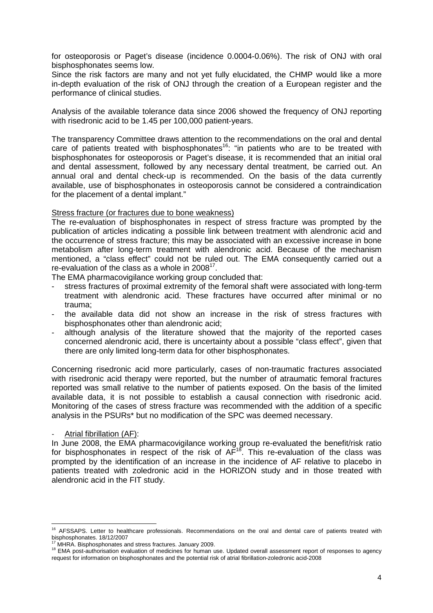for osteoporosis or Paget's disease (incidence 0.0004-0.06%). The risk of ONJ with oral bisphosphonates seems low.

Since the risk factors are many and not yet fully elucidated, the CHMP would like a more in-depth evaluation of the risk of ONJ through the creation of a European register and the performance of clinical studies.

Analysis of the available tolerance data since 2006 showed the frequency of ONJ reporting with risedronic acid to be 1.45 per 100,000 patient-years.

The transparency Committee draws attention to the recommendations on the oral and dental care of patients treated with bisphosphonates<sup>16</sup>: "in patients who are to be treated with bisphosphonates for osteoporosis or Paget's disease, it is recommended that an initial oral and dental assessment, followed by any necessary dental treatment, be carried out. An annual oral and dental check-up is recommended. On the basis of the data currently available, use of bisphosphonates in osteoporosis cannot be considered a contraindication for the placement of a dental implant."

#### Stress fracture (or fractures due to bone weakness)

The re-evaluation of bisphosphonates in respect of stress fracture was prompted by the publication of articles indicating a possible link between treatment with alendronic acid and the occurrence of stress fracture; this may be associated with an excessive increase in bone metabolism after long-term treatment with alendronic acid. Because of the mechanism mentioned, a "class effect" could not be ruled out. The EMA consequently carried out a re-evaluation of the class as a whole in  $2008^{17}$ .

The EMA pharmacovigilance working group concluded that:

- stress fractures of proximal extremity of the femoral shaft were associated with long-term treatment with alendronic acid. These fractures have occurred after minimal or no trauma;
- the available data did not show an increase in the risk of stress fractures with bisphosphonates other than alendronic acid;
- although analysis of the literature showed that the majority of the reported cases concerned alendronic acid, there is uncertainty about a possible "class effect", given that there are only limited long-term data for other bisphosphonates.

Concerning risedronic acid more particularly, cases of non-traumatic fractures associated with risedronic acid therapy were reported, but the number of atraumatic femoral fractures reported was small relative to the number of patients exposed. On the basis of the limited available data, it is not possible to establish a causal connection with risedronic acid. Monitoring of the cases of stress fracture was recommended with the addition of a specific analysis in the PSURs\* but no modification of the SPC was deemed necessary.

#### Atrial fibrillation (AF):

l

In June 2008, the EMA pharmacovigilance working group re-evaluated the benefit/risk ratio for bisphosphonates in respect of the risk of  $AF^{18}$ . This re-evaluation of the class was prompted by the identification of an increase in the incidence of AF relative to placebo in patients treated with zoledronic acid in the HORIZON study and in those treated with alendronic acid in the FIT study.

<sup>&</sup>lt;sup>16</sup> AFSSAPS. Letter to healthcare professionals. Recommendations on the oral and dental care of patients treated with bisphosphonates. 18/12/2007

MHRA. Bisphosphonates and stress fractures. January 2009.

<sup>&</sup>lt;sup>18</sup> EMA post-authorisation evaluation of medicines for human use. Updated overall assessment report of responses to agency request for information on bisphosphonates and the potential risk of atrial fibrillation-zoledronic acid-2008